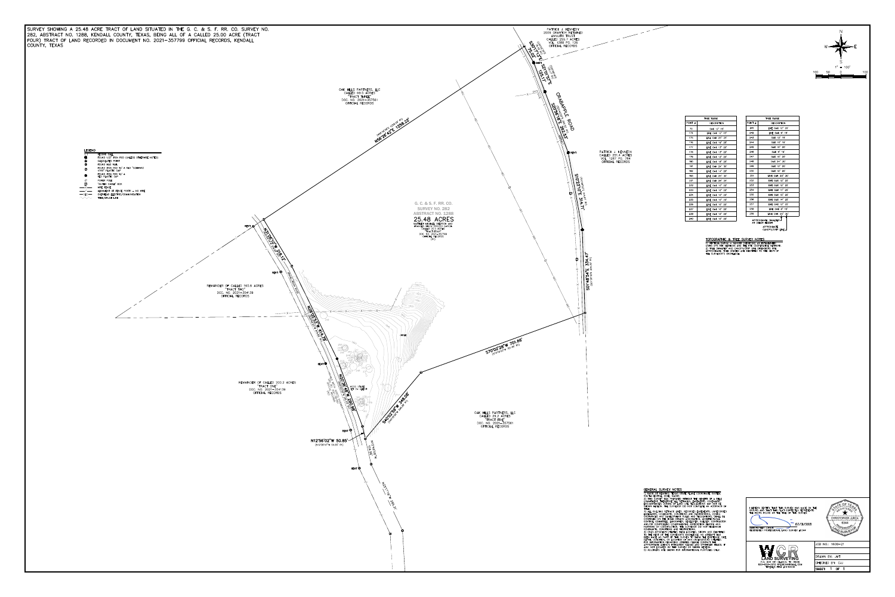SURVEY SHOWING A 25.48 ACRE TRACT OF LAND SITUATED IN THE G. C. & S. F. RR. CO. SURVEY NO. 282, ABSTRACT NO. 1288, KENDALL COUNTY, TEXAS, BEING ALL OF A CALLED 25.00 ACRE (TRACT FOUR) TRACT OF LAND RECORDED IN DOCUMENT NO. 2021-357799 OFFICIAL RECORDS, KENDALL **LEGEND** RECORD CALL FOUND 1/2" IRON ROD (UNLESS OTHERWISE NOTED) CALCULATED POINT FOUND MAG NAIL FOUND IRON ROD W/ A RED "SCHWARZ<br>4760" PLASTIC CAP  $\bigcirc$ FOUND IRON ROD W/ A<br>RED PLASTIC CAP  $\bullet$ POWER POLE Ø "BURIED CABLE" BOX  $\Box$  $-\rightarrow \times$  WIRE FENCE -OEC- OVERHEAD ELECTRIC/COMMUNICATION  $\wedge$   $\wedge$   $\wedge$   $\wedge$   $\wedge$   $\wedge$   $\wedge$   $\wedge$   $\wedge$   $\wedge$   $\wedge$   $\wedge$   $\wedge$   $\wedge$   $\wedge$   $\wedge$   $\wedge$   $\wedge$   $\wedge$   $\wedge$   $\wedge$   $\wedge$   $\wedge$   $\wedge$   $\wedge$   $\wedge$   $\wedge$   $\wedge$   $\wedge$   $\wedge$   $\wedge$   $\wedge$   $\wedge$   $\wedge$   $\wedge$   $\wedge$   $\wedge$ **RFNT** REMAINDER OF CALLED 165.6 ACRES<br>"TRACT TWO"<br>DOC. NO. 2021-354139 OFFICIAL RECORDS **CONTROLLER DESCRIPTION OF REAL PROPERTY AND REAL PROPERTY OF REAL PROPERTY AND REAL PROPERTY AND REAL PROPERTY** REMAINDER OF CALLED 200.2 ACRES<br>"TRACT ONE"<br>DOC. NO. 2021-354139 OFFICIAL RECORDS



CHRISTOPHER JURICA 2017 07/31/2021



 $\star$ CHRISTOPHER JURICA 6344

 $\sqrt{\text{JOB NO}}$ : 1608-21

DRAWN BY: JMT CHECKED BY: CJJ SHEET: 1 OF 1



| TOPOGRAPHIC & TREE SURVEY NOTES                                                                                                                                                                                                  |
|----------------------------------------------------------------------------------------------------------------------------------------------------------------------------------------------------------------------------------|
| 1) VERTICAL DATUM - NAVD88 (GEOID12B) AS ESTABLISHED<br>USING GPS RTK METHODS AND THE RTK COOPERATIVE NETWORK<br>2) TREE DIAMETER AND CANOPY/DRIP LINE DIMENSIONS ARE<br>APPROXIMATE. TREE SPECIES ARE IDENTIFIED TO THE BEST OF |

|           | TREE TABLE          |
|-----------|---------------------|
| POINT $#$ | <b>DESCRIPTION</b>  |
| 70        | OAK 12" 15'         |
| 174       | LIVE OAK 12" 15'    |
| 175       | LIVE OAK 25" 25'    |
| 176       | LIVE OAK 19" 25'    |
| 177       | LIVE OAK 13" 20'    |
| 178       | LIVE OAK 13"<br>20' |
| 179       | LIVE OAK 12"<br>20' |
| 180       | LIVE OAK 18"<br>25' |
| 181       | LIVE OAK 24"<br>30' |
| 182       | LIVE OAK 14"<br>20' |
| 183       | LIVE OAK 25"<br>30' |
| 231       | LIVE OAK 28"<br>25' |
| 232       | LIVE OAK 10"<br>20' |
| 233       | LIVE OAK 10"<br>20' |
| 234       | LIVE OAK 10"<br>20' |
| 235       | LIVE OAK 10" 20'    |
| 236       | LIVE OAK 10" 20'    |
| 237       | LIVE OAK 10" 20'    |
| 238       | LIVE OAK 10" 20'    |
|           |                     |

| TREE TABLE |                        |  |
|------------|------------------------|--|
| POINT #    | <b>DESCRIPTION</b>     |  |
| 241        | LIVE OAK 12" 25'       |  |
| 242        | LIVE OAK 9" 15'        |  |
| 243        | OAK 12" 15'            |  |
| 244        | OAK 10" 15'            |  |
| 245        | OAK 10" 20'            |  |
| 246        | OAK 9" 15'             |  |
| 247        | OAK 10" 20'            |  |
| 248        | OAK 24" 30'            |  |
| 249        | OAK 12" 20'            |  |
| 250        | OAK 10" 20'            |  |
| 251        | LIVE OAK 20" 30'       |  |
| 252        | LIVE OAK 12" 25'       |  |
| 253        | LIVE OAK 12" 25'       |  |
| 254        | LIVE OAK 11" 25'       |  |
| 255        | LIVE OAK 15" 25'       |  |
| 256        | LIVE OAK 14" 25'       |  |
| 257        | LIVE OAK 12" 25'       |  |
| 258        | LIVE OAK 8" 15'        |  |
| 259        | LIVE OAK 25" 30'       |  |
|            | ADDOAVILLATE DIALIETED |  |

 $1" = 100'$ 

50 0

100